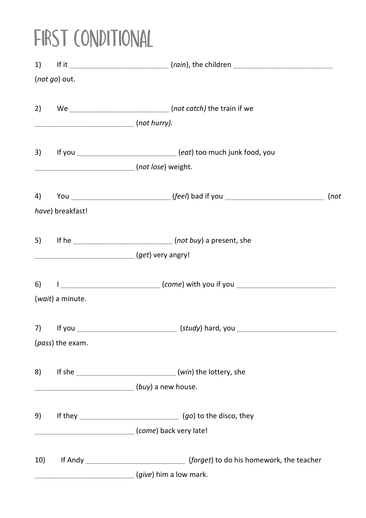## FIRST CONDITIONAL

|     | (not go) out.              |                                                                                  |      |
|-----|----------------------------|----------------------------------------------------------------------------------|------|
|     |                            |                                                                                  |      |
|     | $\frac{1}{1}$ (not hurry). |                                                                                  |      |
|     |                            | 3) If you __________________________(eat) too much junk food, you                |      |
|     |                            |                                                                                  |      |
|     |                            |                                                                                  | (not |
|     | have) breakfast!           |                                                                                  |      |
|     |                            |                                                                                  |      |
|     |                            | [get) very angry!                                                                |      |
|     |                            | 6) 1 _____________________________(come) with you if you _______________________ |      |
|     | (wait) a minute.           |                                                                                  |      |
|     |                            |                                                                                  |      |
|     | (pass) the exam.           |                                                                                  |      |
| 8)  |                            |                                                                                  |      |
|     |                            | _________________________________(buy) a new house.                              |      |
| 9)  |                            |                                                                                  |      |
|     |                            | [come] back very late!                                                           |      |
| 10) |                            |                                                                                  |      |
|     |                            | <i>give</i> ) him a low mark.                                                    |      |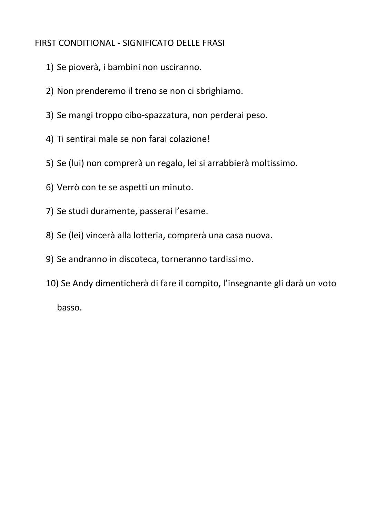#### FIRST CONDITIONAL - SIGNIFICATO DELLE FRASI

- 1) Se pioverà, i bambini non usciranno.
- 2) Non prenderemo il treno se non ci sbrighiamo.
- 3) Se mangi troppo cibo-spazzatura, non perderai peso.
- 4) Ti sentirai male se non farai colazione!
- 5) Se (lui) non comprerà un regalo, lei si arrabbierà moltissimo.
- 6) Verrò con te se aspetti un minuto.
- 7) Se studi duramente, passerai l'esame.
- 8) Se (lei) vincerà alla lotteria, comprerà una casa nuova.
- 9) Se andranno in discoteca, torneranno tardissimo.
- 10) Se Andy dimenticherà di fare il compito, l'insegnante gli darà un voto basso.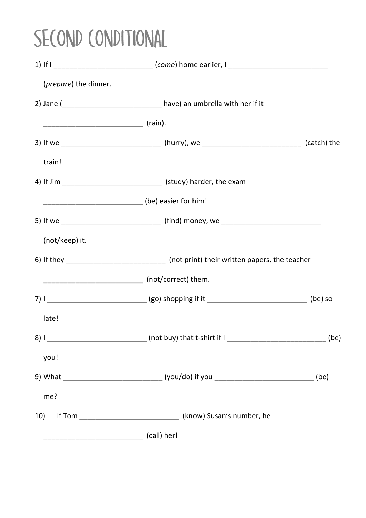# SECOND CONDITIONAL

|                                | 1) If I _____________________________(come) home earlier, I _____________________                  |      |
|--------------------------------|----------------------------------------------------------------------------------------------------|------|
| ( <i>prepare</i> ) the dinner. |                                                                                                    |      |
|                                |                                                                                                    |      |
|                                |                                                                                                    |      |
|                                | 3) If we _________________________________(hurry), we _________________________________(catch) the |      |
| train!                         |                                                                                                    |      |
|                                | 4) If Jim __________________________________(study) harder, the exam                               |      |
|                                | __________________________________(be) easier for him!                                             |      |
|                                |                                                                                                    |      |
| (not/keep) it.                 |                                                                                                    |      |
|                                | 6) If they _________________________________ (not print) their written papers, the teacher         |      |
|                                | _____________________________________ (not/correct) them.                                          |      |
|                                |                                                                                                    |      |
| late!                          |                                                                                                    |      |
|                                |                                                                                                    | (be) |
| you!                           |                                                                                                    |      |
|                                | 9) What _____________________________(you/do) if you __________________________(be)                |      |
| me?                            |                                                                                                    |      |
| 10)                            |                                                                                                    |      |
|                                | (call) her!                                                                                        |      |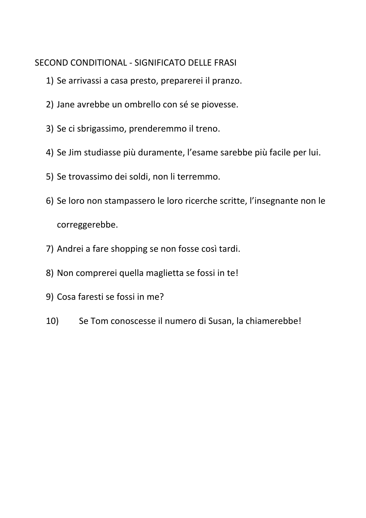#### SECOND CONDITIONAL - SIGNIFICATO DELLE FRASI

- 1) Se arrivassi a casa presto, preparerei il pranzo.
- 2) Jane avrebbe un ombrello con sé se piovesse.
- 3) Se ci sbrigassimo, prenderemmo il treno.
- 4) Se Jim studiasse più duramente, l'esame sarebbe più facile per lui.
- 5) Se trovassimo dei soldi, non li terremmo.
- 6) Se loro non stampassero le loro ricerche scritte, l'insegnante non le correggerebbe.
- 7) Andrei a fare shopping se non fosse così tardi.
- 8) Non comprerei quella maglietta se fossi in te!
- 9) Cosa faresti se fossi in me?
- 10) Se Tom conoscesse il numero di Susan, la chiamerebbe!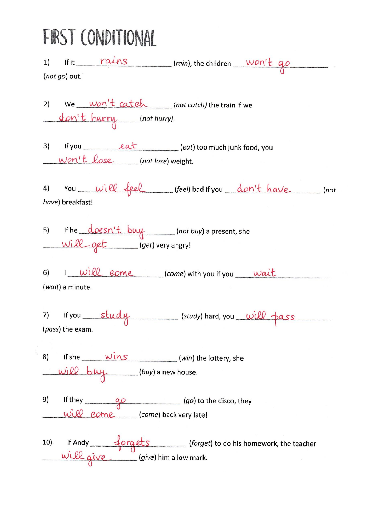### FIRST CONDITIONAL

|    | $(not go)$ out.           |                                   |                                                                                                                   | 1) If it $\frac{raise}{max}$ (rain), the children won't go                                       |  |
|----|---------------------------|-----------------------------------|-------------------------------------------------------------------------------------------------------------------|--------------------------------------------------------------------------------------------------|--|
|    |                           |                                   | 2) We <u>won't catch</u> (not catch) the train if we<br>don't hurry (not hurry).                                  |                                                                                                  |  |
|    |                           | $worth$ $Lose$ (not lose) weight. | 3) If you <u>eat</u> (eat) too much junk food, you                                                                |                                                                                                  |  |
|    | have) breakfast!          |                                   |                                                                                                                   | 4) You will feel (feel) bad if you don't have not                                                |  |
|    |                           |                                   | 5) If he <u>doesn't buy</u> (not buy) a present, she<br>will get (get) very angry!                                |                                                                                                  |  |
|    | ( <i>wait</i> ) a minute. |                                   | 6) $I$ will come (come) with you if you wait                                                                      |                                                                                                  |  |
|    | (pass) the exam.          |                                   | 7) If you study (study) hard, you will pass                                                                       |                                                                                                  |  |
|    |                           |                                   | 8) If she $\frac{wins}{w}$ (win) the lottery, she<br>$\frac{wi\ell\ell}{w}\frac{b\ell\ell}{w}$ (buy) a new house. |                                                                                                  |  |
| 9) |                           | will come (come) back very late!  | If they $\underbrace{q\circ}$ $\underbrace{q\circ}$ (go) to the disco, they                                       |                                                                                                  |  |
|    |                           |                                   |                                                                                                                   | 10) If Andy forgets (forget) to do his homework, the teacher<br>will give (give) him a low mark. |  |